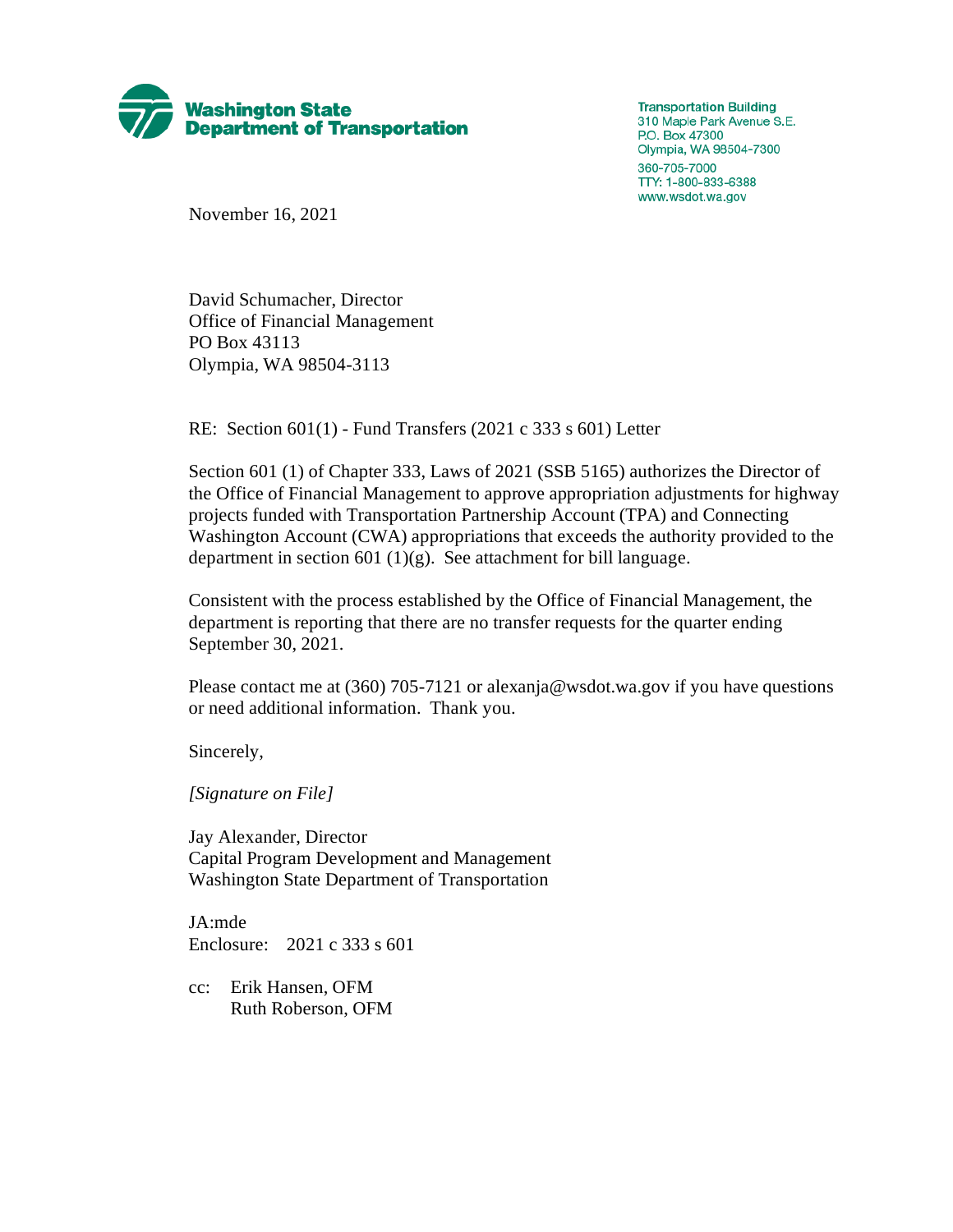

**Transportation Building** 310 Maple Park Avenue S.E. P.O. Box 47300 Olympia, WA 98504-7300 360-705-7000 TTY: 1-800-833-6388 www.wsdot.wa.gov

November 16, 2021

David Schumacher, Director Office of Financial Management PO Box 43113 Olympia, WA 98504-3113

RE: Section 601(1) - Fund Transfers (2021 c 333 s 601) Letter

Section 601 (1) of Chapter 333, Laws of 2021 (SSB 5165) authorizes the Director of the Office of Financial Management to approve appropriation adjustments for highway projects funded with Transportation Partnership Account (TPA) and Connecting Washington Account (CWA) appropriations that exceeds the authority provided to the department in section 601 (1)(g). See attachment for bill language.

Consistent with the process established by the Office of Financial Management, the department is reporting that there are no transfer requests for the quarter ending September 30, 2021.

Please contact me at (360) 705-7121 or alexanja@wsdot.wa.gov if you have questions or need additional information. Thank you.

Sincerely,

*[Signature on File]*

Jay Alexander, Director Capital Program Development and Management Washington State Department of Transportation

JA:mde Enclosure: 2021 c 333 s 601

cc: Erik Hansen, OFM Ruth Roberson, OFM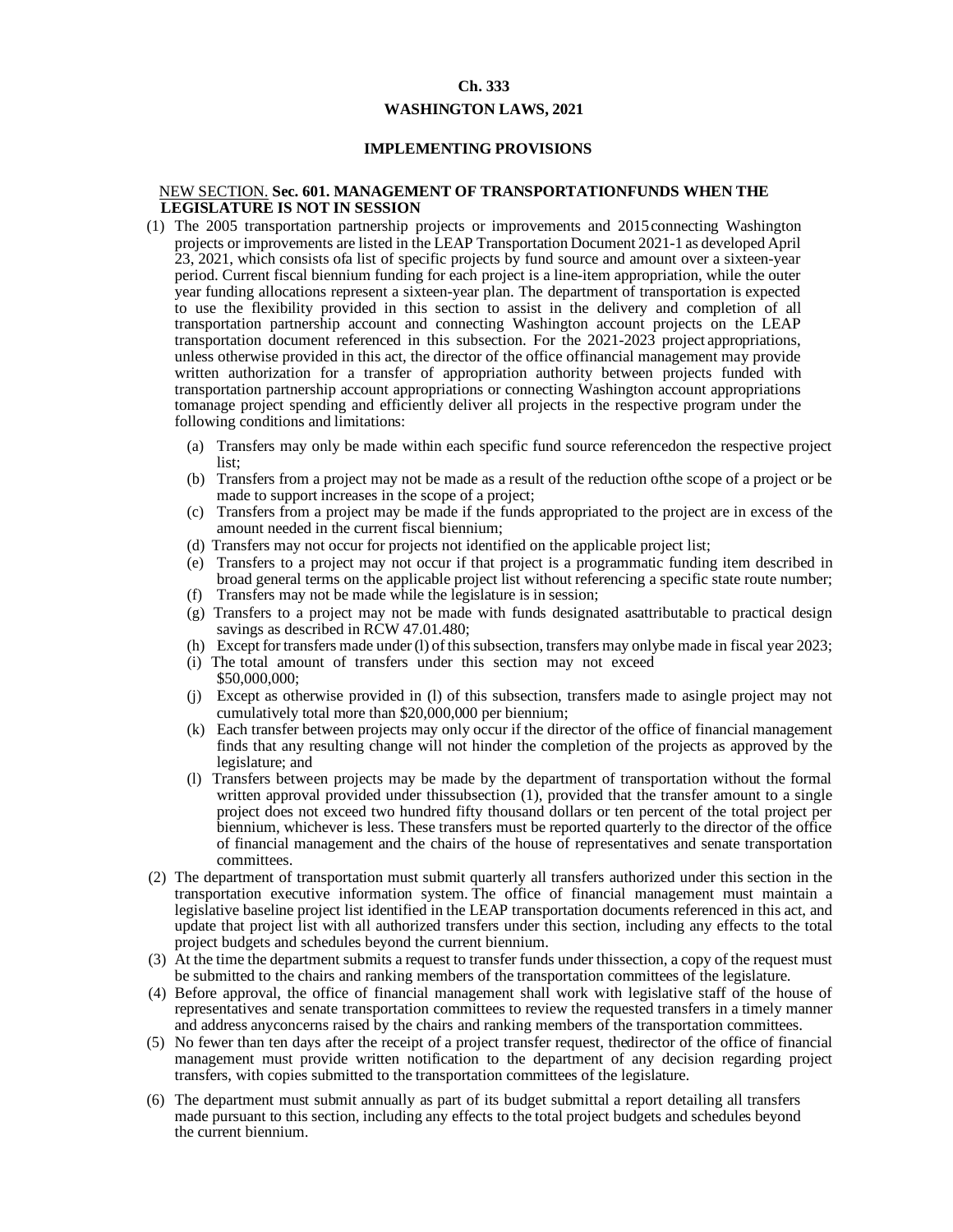## **Ch. 333**

## **WASHINGTON LAWS, 2021**

## **IMPLEMENTING PROVISIONS**

## NEW SECTION. **Sec. 601. MANAGEMENT OF TRANSPORTATIONFUNDS WHEN THE LEGISLATURE IS NOT IN SESSION**

- (1) The 2005 transportation partnership projects or improvements and 2015connecting Washington projects or improvements are listed in the LEAP Transportation Document 2021-1 as developed April 23, 2021, which consists of a list of specific projects by fund source and amount over a sixteen-year period. Current fiscal biennium funding for each project is a line-item appropriation, while the outer year funding allocations represent a sixteen-year plan. The department of transportation is expected to use the flexibility provided in this section to assist in the delivery and completion of all transportation partnership account and connecting Washington account projects on the LEAP transportation document referenced in this subsection. For the 2021-2023 project appropriations, unless otherwise provided in this act, the director of the office of financial management may provide written authorization for a transfer of appropriation authority between projects funded with transportation partnership account appropriations or connecting Washington account appropriations tomanage project spending and efficiently deliver all projects in the respective program under the following conditions and limitations:
	- (a) Transfers may only be made within each specific fund source referenced on the respective project list;
	- (b) Transfers from a project may not be made as a result of the reduction of the scope of a project or be made to support increases in the scope of a project;
	- (c) Transfers from a project may be made if the funds appropriated to the project are in excess of the amount needed in the current fiscal biennium;
	- (d) Transfers may not occur for projects not identified on the applicable project list;
	- (e) Transfers to a project may not occur if that project is a programmatic funding item described in broad general terms on the applicable project list without referencing a specific state route number;
	- (f) Transfers may not be made while the legislature is in session;
	- (g) Transfers to a project may not be made with funds designated asattributable to practical design savings as described in RCW 47.01.480;
	- (h) Except for transfers made under (l) of this subsection, transfers may only be made in fiscal year 2023;
	- (i) The total amount of transfers under this section may not exceed \$50,000,000;
	- (j) Except as otherwise provided in (l) of this subsection, transfers made to a single project may not cumulatively total more than \$20,000,000 per biennium;
	- (k) Each transfer between projects may only occur if the director of the office of financial management finds that any resulting change will not hinder the completion of the projects as approved by the legislature; and
	- (l) Transfers between projects may be made by the department of transportation without the formal written approval provided under thissubsection (1), provided that the transfer amount to a single project does not exceed two hundred fifty thousand dollars or ten percent of the total project per biennium, whichever is less. These transfers must be reported quarterly to the director of the office of financial management and the chairs of the house of representatives and senate transportation committees.
- (2) The department of transportation must submit quarterly all transfers authorized under this section in the transportation executive information system. The office of financial management must maintain a legislative baseline project list identified in the LEAP transportation documents referenced in this act, and update that project list with all authorized transfers under this section, including any effects to the total project budgets and schedules beyond the current biennium.
- (3) At the time the department submits a request to transfer funds under thissection, a copy of the request must be submitted to the chairs and ranking members of the transportation committees of the legislature.
- (4) Before approval, the office of financial management shall work with legislative staff of the house of representatives and senate transportation committees to review the requested transfers in a timely manner and address any concerns raised by the chairs and ranking members of the transportation committees.
- (5) No fewer than ten days after the receipt of a project transfer request, thedirector of the office of financial management must provide written notification to the department of any decision regarding project transfers, with copies submitted to the transportation committees of the legislature.
- (6) The department must submit annually as part of its budget submittal a report detailing all transfers made pursuant to this section, including any effects to the total project budgets and schedules beyond the current biennium.